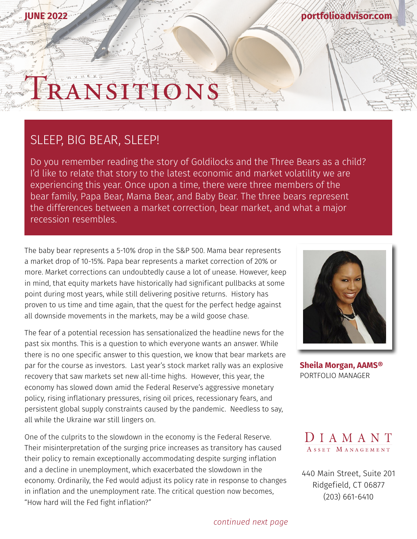### **JUNE 2022**

#### **[portfolioadvisor.com](http://portfolioadvisor.com)**

# RANSITION

## SLEEP, BIG BEAR, SLEEP!

Do you remember reading the story of Goldilocks and the Three Bears as a child? I'd like to relate that story to the latest economic and market volatility we are experiencing this year. Once upon a time, there were three members of the bear family, Papa Bear, Mama Bear, and Baby Bear. The three bears represent the differences between a market correction, bear market, and what a major recession resembles.

The baby bear represents a 5-10% drop in the S&P 500. Mama bear represents a market drop of 10-15%. Papa bear represents a market correction of 20% or more. Market corrections can undoubtedly cause a lot of unease. However, keep in mind, that equity markets have historically had significant pullbacks at some point during most years, while still delivering positive returns. History has proven to us time and time again, that the quest for the perfect hedge against all downside movements in the markets, may be a wild goose chase.

The fear of a potential recession has sensationalized the headline news for the past six months. This is a question to which everyone wants an answer. While there is no one specific answer to this question, we know that bear markets are par for the course as investors. Last year's stock market rally was an explosive recovery that saw markets set new all-time highs. However, this year, the economy has slowed down amid the Federal Reserve's aggressive monetary policy, rising inflationary pressures, rising oil prices, recessionary fears, and persistent global supply constraints caused by the pandemic. Needless to say, all while the Ukraine war still lingers on.

One of the culprits to the slowdown in the economy is the Federal Reserve. Their misinterpretation of the surging price increases as transitory has caused their policy to remain exceptionally accommodating despite surging inflation and a decline in unemployment, which exacerbated the slowdown in the economy. Ordinarily, the Fed would adjust its policy rate in response to changes in inflation and the unemployment rate. The critical question now becomes, "How hard will the Fed fight inflation?"



**[Sheila Morgan, AAMS®](http://portfolioadvisor.com/team)** PORTFOLIO MANAGER



[440 Main Street, Suite 201](http://www.portfolioadvisor.com) Ridgefield, CT 06877 (203) 661-6410

*continued next page*